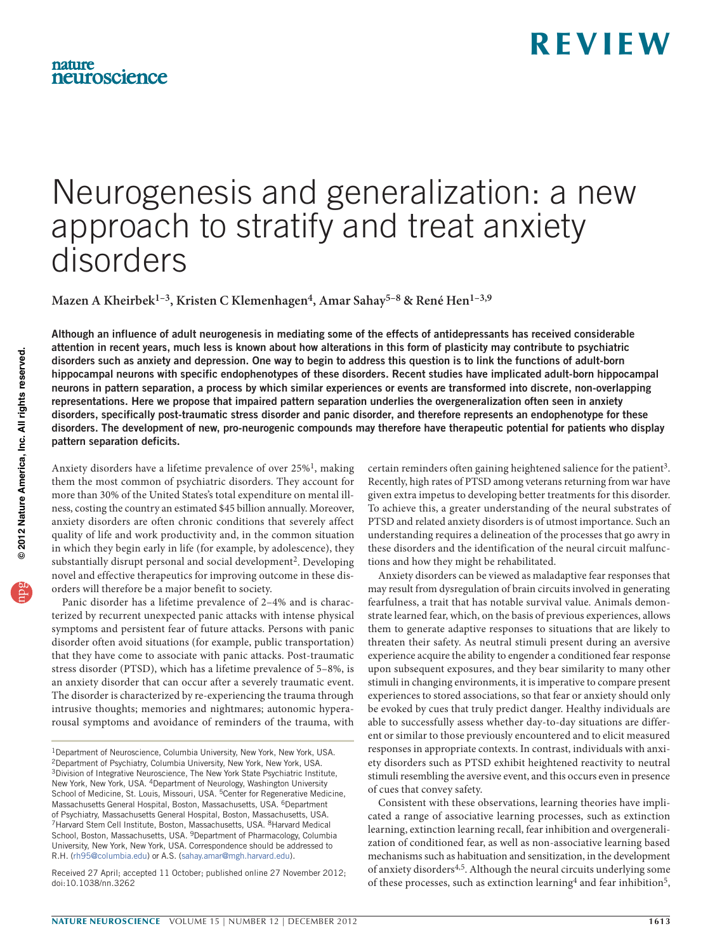# Neurogenesis and generalization: a new approach to stratify and treat anxiety disorders

**Mazen A Kheirbek1–3, Kristen C Klemenhagen4, Amar Sahay5–8 & René Hen1–3,9**

Although an influence of adult neurogenesis in mediating some of the effects of antidepressants has received considerable attention in recent years, much less is known about how alterations in this form of plasticity may contribute to psychiatric disorders such as anxiety and depression. One way to begin to address this question is to link the functions of adult-born hippocampal neurons with specific endophenotypes of these disorders. Recent studies have implicated adult-born hippocampal neurons in pattern separation, a process by which similar experiences or events are transformed into discrete, non-overlapping representations. Here we propose that impaired pattern separation underlies the overgeneralization often seen in anxiety disorders, specifically post-traumatic stress disorder and panic disorder, and therefore represents an endophenotype for these disorders. The development of new, pro-neurogenic compounds may therefore have therapeutic potential for patients who display pattern separation deficits.

Anxiety disorders have a lifetime prevalence of over 25%[1,](#page-6-0) making them the most common of psychiatric disorders. They account for more than 30% of the United States's total expenditure on mental illness, costing the country an estimated \$45 billion annually. Moreover, anxiety disorders are often chronic conditions that severely affect quality of life and work productivity and, in the common situation in which they begin early in life (for example, by adolescence), they substantially disrupt personal and social development<sup>2</sup>. Developing novel and effective therapeutics for improving outcome in these disorders will therefore be a major benefit to society.

Panic disorder has a lifetime prevalence of 2–4% and is characterized by recurrent unexpected panic attacks with intense physical symptoms and persistent fear of future attacks. Persons with panic disorder often avoid situations (for example, public transportation) that they have come to associate with panic attacks. Post-traumatic stress disorder (PTSD), which has a lifetime prevalence of 5–8%, is an anxiety disorder that can occur after a severely traumatic event. The disorder is characterized by re-experiencing the trauma through intrusive thoughts; memories and nightmares; autonomic hyperarousal symptoms and avoidance of reminders of the trauma, with

certain reminders often gaining heightened salience for the patient<sup>[3](#page-6-2)</sup>. Recently, high rates of PTSD among veterans returning from war have given extra impetus to developing better treatments for this disorder. To achieve this, a greater understanding of the neural substrates of PTSD and related anxiety disorders is of utmost importance. Such an understanding requires a delineation of the processes that go awry in these disorders and the identification of the neural circuit malfunctions and how they might be rehabilitated.

Anxiety disorders can be viewed as maladaptive fear responses that may result from dysregulation of brain circuits involved in generating fearfulness, a trait that has notable survival value. Animals demonstrate learned fear, which, on the basis of previous experiences, allows them to generate adaptive responses to situations that are likely to threaten their safety. As neutral stimuli present during an aversive experience acquire the ability to engender a conditioned fear response upon subsequent exposures, and they bear similarity to many other stimuli in changing environments, it is imperative to compare present experiences to stored associations, so that fear or anxiety should only be evoked by cues that truly predict danger. Healthy individuals are able to successfully assess whether day-to-day situations are different or similar to those previously encountered and to elicit measured responses in appropriate contexts. In contrast, individuals with anxiety disorders such as PTSD exhibit heightened reactivity to neutral stimuli resembling the aversive event, and this occurs even in presence of cues that convey safety.

Consistent with these observations, learning theories have implicated a range of associative learning processes, such as extinction learning, extinction learning recall, fear inhibition and overgeneralization of conditioned fear, as well as non-associative learning based mechanisms such as habituation and sensitization, in the development of anxiety disorders[4,](#page-6-3)[5](#page-6-4). Although the neural circuits underlying some of these processes, such as extinction learning<sup>4</sup> and fear inhibition<sup>5</sup>,

<sup>1</sup>Department of Neuroscience, Columbia University, New York, New York, USA. 2Department of Psychiatry, Columbia University, New York, New York, USA. <sup>3</sup>Division of Integrative Neuroscience, The New York State Psychiatric Institute, New York, New York, USA. 4Department of Neurology, Washington University School of Medicine, St. Louis, Missouri, USA. <sup>5</sup>Center for Regenerative Medicine, Massachusetts General Hospital, Boston, Massachusetts, USA. <sup>6</sup>Department of Psychiatry, Massachusetts General Hospital, Boston, Massachusetts, USA. 7Harvard Stem Cell Institute, Boston, Massachusetts, USA. 8Harvard Medical School, Boston, Massachusetts, USA. <sup>9</sup>Department of Pharmacology, Columbia University, New York, New York, USA. Correspondence should be addressed to R.H. (rh95@columbia.edu) or A.S. (sahay.amar@mgh.harvard.edu).

Received 27 April; accepted 11 October; published online 27 November 2012; [doi:10.1038/nn.3262](http://www.nature.com/doifinder/10.1038/nn.3262)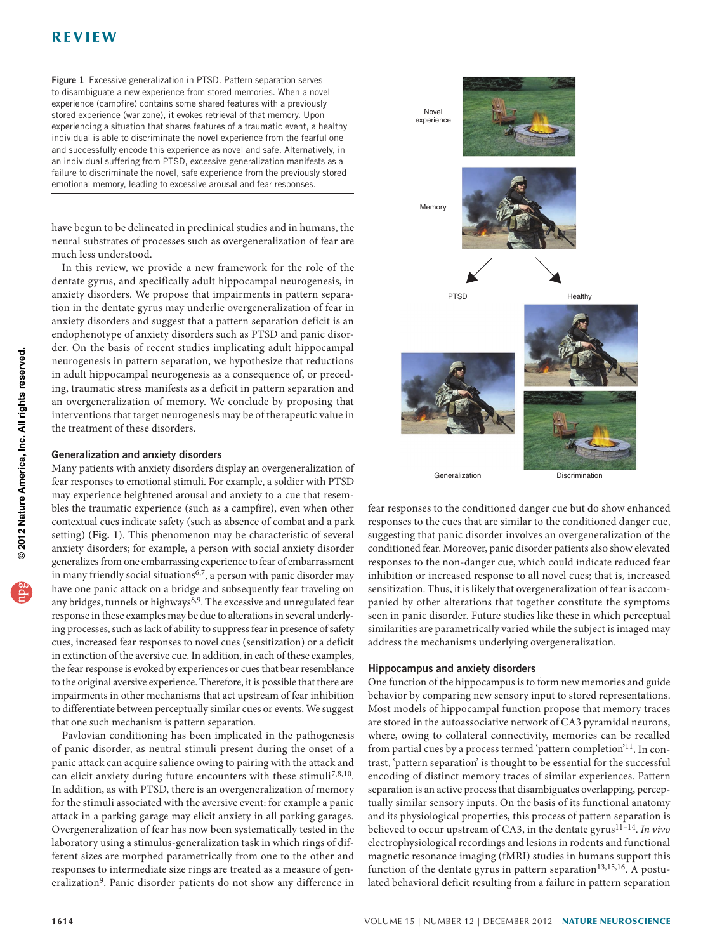<span id="page-1-0"></span>Figure 1 Excessive generalization in PTSD. Pattern separation serves to disambiguate a new experience from stored memories. When a novel experience (campfire) contains some shared features with a previously stored experience (war zone), it evokes retrieval of that memory. Upon experiencing a situation that shares features of a traumatic event, a healthy individual is able to discriminate the novel experience from the fearful one and successfully encode this experience as novel and safe. Alternatively, in an individual suffering from PTSD, excessive generalization manifests as a failure to discriminate the novel, safe experience from the previously stored emotional memory, leading to excessive arousal and fear responses.

have begun to be delineated in preclinical studies and in humans, the neural substrates of processes such as overgeneralization of fear are much less understood.

In this review, we provide a new framework for the role of the dentate gyrus, and specifically adult hippocampal neurogenesis, in anxiety disorders. We propose that impairments in pattern separation in the dentate gyrus may underlie overgeneralization of fear in anxiety disorders and suggest that a pattern separation deficit is an endophenotype of anxiety disorders such as PTSD and panic disorder. On the basis of recent studies implicating adult hippocampal neurogenesis in pattern separation, we hypothesize that reductions in adult hippocampal neurogenesis as a consequence of, or preceding, traumatic stress manifests as a deficit in pattern separation and an overgeneralization of memory. We conclude by proposing that interventions that target neurogenesis may be of therapeutic value in the treatment of these disorders.

## Generalization and anxiety disorders

Many patients with anxiety disorders display an overgeneralization of fear responses to emotional stimuli. For example, a soldier with PTSD may experience heightened arousal and anxiety to a cue that resembles the traumatic experience (such as a campfire), even when other contextual cues indicate safety (such as absence of combat and a park setting) (**[Fig. 1](#page-1-0)**). This phenomenon may be characteristic of several anxiety disorders; for example, a person with social anxiety disorder generalizes from one embarrassing experience to fear of embarrassment in many friendly social situations $6,7$  $6,7$ , a person with panic disorder may have one panic attack on a bridge and subsequently fear traveling on any bridges, tunnels or highways<sup>8,[9](#page-6-8)</sup>. The excessive and unregulated fear response in these examples may be due to alterations in several underlying processes, such as lack of ability to suppress fear in presence of safety cues, increased fear responses to novel cues (sensitization) or a deficit in extinction of the aversive cue. In addition, in each of these examples, the fear response is evoked by experiences or cues that bear resemblance to the original aversive experience. Therefore, it is possible that there are impairments in other mechanisms that act upstream of fear inhibition to differentiate between perceptually similar cues or events. We suggest that one such mechanism is pattern separation.

Pavlovian conditioning has been implicated in the pathogenesis of panic disorder, as neutral stimuli present during the onset of a panic attack can acquire salience owing to pairing with the attack and can elicit anxiety during future encounters with these stimuli<sup>[7,](#page-6-6)[8,](#page-6-7)[10](#page-6-9)</sup>. In addition, as with PTSD, there is an overgeneralization of memory for the stimuli associated with the aversive event: for example a panic attack in a parking garage may elicit anxiety in all parking garages. Overgeneralization of fear has now been systematically tested in the laboratory using a stimulus-generalization task in which rings of different sizes are morphed parametrically from one to the other and responses to intermediate size rings are treated as a measure of gen-eralization<sup>[9](#page-6-8)</sup>. Panic disorder patients do not show any difference in



fear responses to the conditioned danger cue but do show enhanced responses to the cues that are similar to the conditioned danger cue, suggesting that panic disorder involves an overgeneralization of the conditioned fear. Moreover, panic disorder patients also show elevated responses to the non-danger cue, which could indicate reduced fear inhibition or increased response to all novel cues; that is, increased sensitization. Thus, it is likely that overgeneralization of fear is accompanied by other alterations that together constitute the symptoms seen in panic disorder. Future studies like these in which perceptual similarities are parametrically varied while the subject is imaged may address the mechanisms underlying overgeneralization.

#### Hippocampus and anxiety disorders

One function of the hippocampus is to form new memories and guide behavior by comparing new sensory input to stored representations. Most models of hippocampal function propose that memory traces are stored in the autoassociative network of CA3 pyramidal neurons, where, owing to collateral connectivity, memories can be recalled from partial cues by a process termed 'pattern completion'<sup>11</sup>. In contrast, 'pattern separation' is thought to be essential for the successful encoding of distinct memory traces of similar experiences. Pattern separation is an active process that disambiguates overlapping, perceptually similar sensory inputs. On the basis of its functional anatomy and its physiological properties, this process of pattern separation is believed to occur upstream of CA3, in the dentate gyrus<sup>11-[14](#page-6-11)</sup>. In vivo electrophysiological recordings and lesions in rodents and functional magnetic resonance imaging (fMRI) studies in humans support this function of the dentate gyrus in pattern separation<sup>[13,](#page-6-12)[15,](#page-6-13)[16](#page-6-14)</sup>. A postulated behavioral deficit resulting from a failure in pattern separation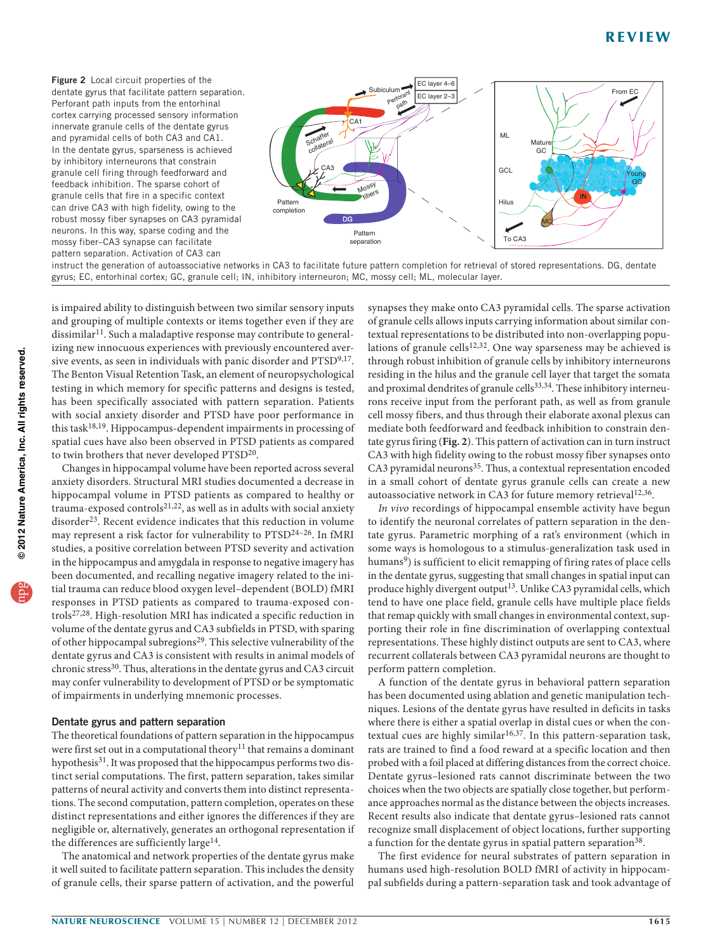<span id="page-2-0"></span>Figure 2 Local circuit properties of the dentate gyrus that facilitate pattern separation. Perforant path inputs from the entorhinal cortex carrying processed sensory information innervate granule cells of the dentate gyrus and pyramidal cells of both CA3 and CA1. In the dentate gyrus, sparseness is achieved by inhibitory interneurons that constrain granule cell firing through feedforward and feedback inhibition. The sparse cohort of granule cells that fire in a specific context can drive CA3 with high fidelity, owing to the robust mossy fiber synapses on CA3 pyramidal neurons. In this way, sparse coding and the mossy fiber–CA3 synapse can facilitate pattern separation. Activation of CA3 can



instruct the generation of autoassociative networks in CA3 to facilitate future pattern completion for retrieval of stored representations. DG, dentate gyrus; EC, entorhinal cortex; GC, granule cell; IN, inhibitory interneuron; MC, mossy cell; ML, molecular layer.

is impaired ability to distinguish between two similar sensory inputs and grouping of multiple contexts or items together even if they are dissimilar<sup>[11](#page-6-10)</sup>. Such a maladaptive response may contribute to generalizing new innocuous experiences with previously encountered aver-sive events, as seen in individuals with panic disorder and PTSD<sup>[9,](#page-6-8)[17](#page-6-15)</sup>. The Benton Visual Retention Task, an element of neuropsychological testing in which memory for specific patterns and designs is tested, has been specifically associated with pattern separation. Patients with social anxiety disorder and PTSD have poor performance in this task[18,](#page-6-16)[19](#page-6-17). Hippocampus-dependent impairments in processing of spatial cues have also been observed in PTSD patients as compared to twin brothers that never developed PTSD<sup>20</sup>.

Changes in hippocampal volume have been reported across several anxiety disorders. Structural MRI studies documented a decrease in hippocampal volume in PTSD patients as compared to healthy or trauma-exposed controls[21,](#page-6-19)[22](#page-6-20), as well as in adults with social anxiety disorder<sup>[23](#page-6-21)</sup>. Recent evidence indicates that this reduction in volume may represent a risk factor for vulnerability to PTSD[24–](#page-6-22)[26](#page-6-23). In fMRI studies, a positive correlation between PTSD severity and activation in the hippocampus and amygdala in response to negative imagery has been documented, and recalling negative imagery related to the initial trauma can reduce blood oxygen level–dependent (BOLD) fMRI responses in PTSD patients as compared to trauma-exposed controls[27,](#page-6-24)[28](#page-6-25). High-resolution MRI has indicated a specific reduction in volume of the dentate gyrus and CA3 subfields in PTSD, with sparing of other hippocampal subregions<sup>[29](#page-6-26)</sup>. This selective vulnerability of the dentate gyrus and CA3 is consistent with results in animal models of chronic stress<sup>30</sup>. Thus, alterations in the dentate gyrus and CA3 circuit may confer vulnerability to development of PTSD or be symptomatic of impairments in underlying mnemonic processes.

## Dentate gyrus and pattern separation

The theoretical foundations of pattern separation in the hippocampus were first set out in a computational theory<sup>[11](#page-6-10)</sup> that remains a dominant hypothesis<sup>[31](#page-6-28)</sup>. It was proposed that the hippocampus performs two distinct serial computations. The first, pattern separation, takes similar patterns of neural activity and converts them into distinct representations. The second computation, pattern completion, operates on these distinct representations and either ignores the differences if they are negligible or, alternatively, generates an orthogonal representation if the differences are sufficiently large<sup>[14](#page-6-11)</sup>.

The anatomical and network properties of the dentate gyrus make it well suited to facilitate pattern separation. This includes the density of granule cells, their sparse pattern of activation, and the powerful

synapses they make onto CA3 pyramidal cells. The sparse activation of granule cells allows inputs carrying information about similar contextual representations to be distributed into non-overlapping popu-lations of granule cells<sup>[12,](#page-6-29)32</sup>. One way sparseness may be achieved is through robust inhibition of granule cells by inhibitory interneurons residing in the hilus and the granule cell layer that target the somata and proximal dendrites of granule cells<sup>33,34</sup>. These inhibitory interneurons receive input from the perforant path, as well as from granule cell mossy fibers, and thus through their elaborate axonal plexus can mediate both feedforward and feedback inhibition to constrain dentate gyrus firing (**[Fig. 2](#page-2-0)**). This pattern of activation can in turn instruct CA3 with high fidelity owing to the robust mossy fiber synapses onto CA3 pyramidal neurons<sup>35</sup>. Thus, a contextual representation encoded in a small cohort of dentate gyrus granule cells can create a new autoassociative network in CA3 for future memory retrieval<sup>[12,](#page-6-29)[36](#page-6-34)</sup>.

*In vivo* recordings of hippocampal ensemble activity have begun to identify the neuronal correlates of pattern separation in the dentate gyrus. Parametric morphing of a rat's environment (which in some ways is homologous to a stimulus-generalization task used in humans<sup>[9](#page-6-8)</sup>) is sufficient to elicit remapping of firing rates of place cells in the dentate gyrus, suggesting that small changes in spatial input can produce highly divergent output<sup>[13](#page-6-12)</sup>. Unlike CA3 pyramidal cells, which tend to have one place field, granule cells have multiple place fields that remap quickly with small changes in environmental context, supporting their role in fine discrimination of overlapping contextual representations. These highly distinct outputs are sent to CA3, where recurrent collaterals between CA3 pyramidal neurons are thought to perform pattern completion.

A function of the dentate gyrus in behavioral pattern separation has been documented using ablation and genetic manipulation techniques. Lesions of the dentate gyrus have resulted in deficits in tasks where there is either a spatial overlap in distal cues or when the contextual cues are highly similar  $16,37$  $16,37$ . In this pattern-separation task, rats are trained to find a food reward at a specific location and then probed with a foil placed at differing distances from the correct choice. Dentate gyrus–lesioned rats cannot discriminate between the two choices when the two objects are spatially close together, but performance approaches normal as the distance between the objects increases. Recent results also indicate that dentate gyrus–lesioned rats cannot recognize small displacement of object locations, further supporting a function for the dentate gyrus in spatial pattern separation<sup>38</sup>.

The first evidence for neural substrates of pattern separation in humans used high-resolution BOLD fMRI of activity in hippocampal subfields during a pattern-separation task and took advantage of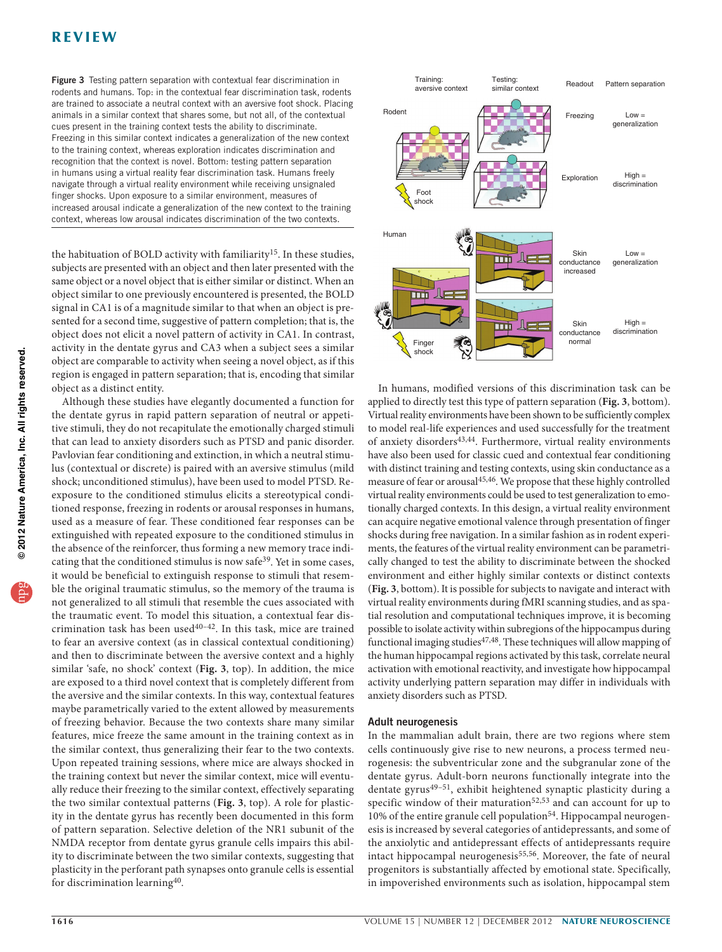<span id="page-3-0"></span>Figure 3 Testing pattern separation with contextual fear discrimination in rodents and humans. Top: in the contextual fear discrimination task, rodents are trained to associate a neutral context with an aversive foot shock. Placing animals in a similar context that shares some, but not all, of the contextual cues present in the training context tests the ability to discriminate. Freezing in this similar context indicates a generalization of the new context to the training context, whereas exploration indicates discrimination and recognition that the context is novel. Bottom: testing pattern separation in humans using a virtual reality fear discrimination task. Humans freely navigate through a virtual reality environment while receiving unsignaled finger shocks. Upon exposure to a similar environment, measures of increased arousal indicate a generalization of the new context to the training context, whereas low arousal indicates discrimination of the two contexts.

the habituation of BOLD activity with familiarity<sup>15</sup>. In these studies, subjects are presented with an object and then later presented with the same object or a novel object that is either similar or distinct. When an object similar to one previously encountered is presented, the BOLD signal in CA1 is of a magnitude similar to that when an object is presented for a second time, suggestive of pattern completion; that is, the object does not elicit a novel pattern of activity in CA1. In contrast, activity in the dentate gyrus and CA3 when a subject sees a similar object are comparable to activity when seeing a novel object, as if this region is engaged in pattern separation; that is, encoding that similar object as a distinct entity.

Although these studies have elegantly documented a function for the dentate gyrus in rapid pattern separation of neutral or appetitive stimuli, they do not recapitulate the emotionally charged stimuli that can lead to anxiety disorders such as PTSD and panic disorder. Pavlovian fear conditioning and extinction, in which a neutral stimulus (contextual or discrete) is paired with an aversive stimulus (mild shock; unconditioned stimulus), have been used to model PTSD. Reexposure to the conditioned stimulus elicits a stereotypical conditioned response, freezing in rodents or arousal responses in humans, used as a measure of fear. These conditioned fear responses can be extinguished with repeated exposure to the conditioned stimulus in the absence of the reinforcer, thus forming a new memory trace indicating that the conditioned stimulus is now safe[39.](#page-6-37) Yet in some cases, it would be beneficial to extinguish response to stimuli that resemble the original traumatic stimulus, so the memory of the trauma is not generalized to all stimuli that resemble the cues associated with the traumatic event. To model this situation, a contextual fear discrimination task has been used $40-42$  $40-42$ . In this task, mice are trained to fear an aversive context (as in classical contextual conditioning) and then to discriminate between the aversive context and a highly similar 'safe, no shock' context (**[Fig. 3](#page-3-0)**, top). In addition, the mice are exposed to a third novel context that is completely different from the aversive and the similar contexts. In this way, contextual features maybe parametrically varied to the extent allowed by measurements of freezing behavior. Because the two contexts share many similar features, mice freeze the same amount in the training context as in the similar context, thus generalizing their fear to the two contexts. Upon repeated training sessions, where mice are always shocked in the training context but never the similar context, mice will eventually reduce their freezing to the similar context, effectively separating the two similar contextual patterns (**[Fig. 3](#page-3-0)**, top). A role for plasticity in the dentate gyrus has recently been documented in this form of pattern separation. Selective deletion of the NR1 subunit of the NMDA receptor from dentate gyrus granule cells impairs this ability to discriminate between the two similar contexts, suggesting that plasticity in the perforant path synapses onto granule cells is essential for discrimination learning[40](#page-6-38).



In humans, modified versions of this discrimination task can be applied to directly test this type of pattern separation (**[Fig. 3](#page-3-0)**, bottom). Virtual reality environments have been shown to be sufficiently complex to model real-life experiences and used successfully for the treatment of anxiety disorders<sup>[43,](#page-6-40)44</sup>. Furthermore, virtual reality environments have also been used for classic cued and contextual fear conditioning with distinct training and testing contexts, using skin conductance as a measure of fear or arousal<sup>[45,](#page-7-0)46</sup>. We propose that these highly controlled virtual reality environments could be used to test generalization to emotionally charged contexts. In this design, a virtual reality environment can acquire negative emotional valence through presentation of finger shocks during free navigation. In a similar fashion as in rodent experiments, the features of the virtual reality environment can be parametrically changed to test the ability to discriminate between the shocked environment and either highly similar contexts or distinct contexts (**[Fig. 3](#page-3-0)**, bottom). It is possible for subjects to navigate and interact with virtual reality environments during fMRI scanning studies, and as spatial resolution and computational techniques improve, it is becoming possible to isolate activity within subregions of the hippocampus during functional imaging studie[s47,](#page-7-2)[48](#page-7-3). These techniques will allow mapping of the human hippocampal regions activated by this task, correlate neural activation with emotional reactivity, and investigate how hippocampal activity underlying pattern separation may differ in individuals with anxiety disorders such as PTSD.

#### Adult neurogenesis

In the mammalian adult brain, there are two regions where stem cells continuously give rise to new neurons, a process termed neurogenesis: the subventricular zone and the subgranular zone of the dentate gyrus. Adult-born neurons functionally integrate into the dentate gyrus[49–](#page-7-4)[51,](#page-7-5) exhibit heightened synaptic plasticity during a specific window of their maturation<sup>[52,](#page-7-6)[53](#page-7-7)</sup> and can account for up to 10% of the entire granule cell population<sup>[54](#page-7-8)</sup>. Hippocampal neurogenesis is increased by several categories of antidepressants, and some of the anxiolytic and antidepressant effects of antidepressants require intact hippocampal neurogenesis<sup>[55,](#page-7-9)56</sup>. Moreover, the fate of neural progenitors is substantially affected by emotional state. Specifically, in impoverished environments such as isolation, hippocampal stem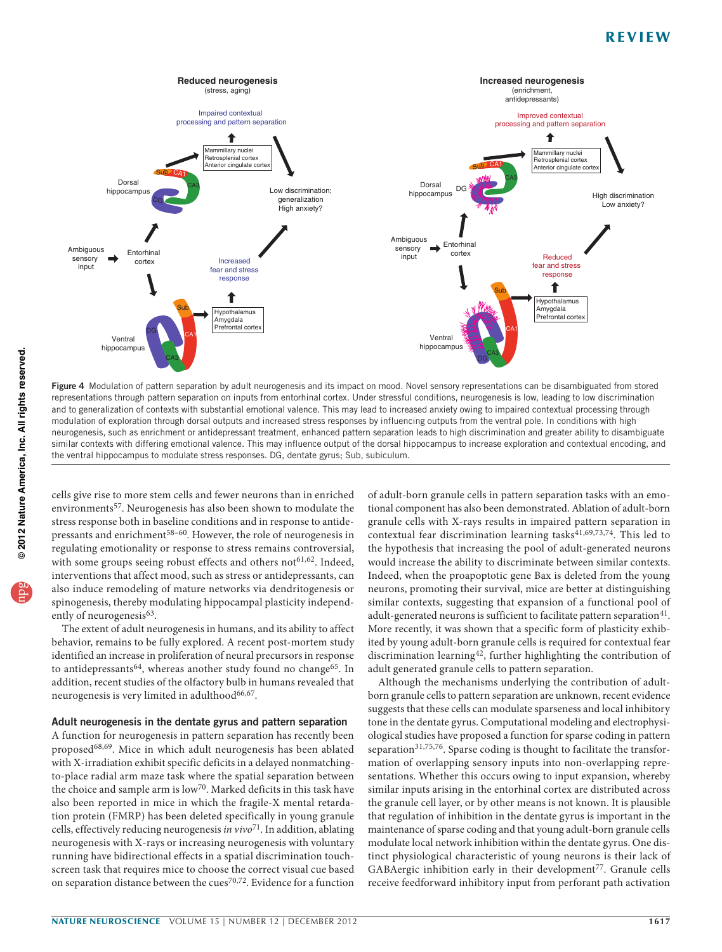

© 2012 Nature America, Inc. All rights reserved. npg **© 2012 Nature America, Inc. All rights reserved.**

<span id="page-4-0"></span>Figure 4 Modulation of pattern separation by adult neurogenesis and its impact on mood. Novel sensory representations can be disambiguated from stored representations through pattern separation on inputs from entorhinal cortex. Under stressful conditions, neurogenesis is low, leading to low discrimination and to generalization of contexts with substantial emotional valence. This may lead to increased anxiety owing to impaired contextual processing through modulation of exploration through dorsal outputs and increased stress responses by influencing outputs from the ventral pole. In conditions with high neurogenesis, such as enrichment or antidepressant treatment, enhanced pattern separation leads to high discrimination and greater ability to disambiguate similar contexts with differing emotional valence. This may influence output of the dorsal hippocampus to increase exploration and contextual encoding, and the ventral hippocampus to modulate stress responses. DG, dentate gyrus; Sub, subiculum.

cells give rise to more stem cells and fewer neurons than in enriched environments<sup>[57](#page-7-11)</sup>. Neurogenesis has also been shown to modulate the stress response both in baseline conditions and in response to antidepressants and enrichment<sup>58-60</sup>. However, the role of neurogenesis in regulating emotionality or response to stress remains controversial, with some groups seeing robust effects and others not<sup>[61,](#page-7-14)62</sup>. Indeed, interventions that affect mood, such as stress or antidepressants, can also induce remodeling of mature networks via dendritogenesis or spinogenesis, thereby modulating hippocampal plasticity independently of neurogenesis<sup>63</sup>.

The extent of adult neurogenesis in humans, and its ability to affect behavior, remains to be fully explored. A recent post-mortem study identified an increase in proliferation of neural precursors in response to antidepressants<sup>64</sup>, whereas another study found no change<sup>65</sup>. In addition, recent studies of the olfactory bulb in humans revealed that neurogenesis is very limited in adulthood<sup>[66,](#page-7-19)67</sup>.

## Adult neurogenesis in the dentate gyrus and pattern separation

A function for neurogenesis in pattern separation has recently been proposed[68,](#page-7-21)[69](#page-7-22). Mice in which adult neurogenesis has been ablated with X-irradiation exhibit specific deficits in a delayed nonmatchingto-place radial arm maze task where the spatial separation between the choice and sample arm is low<sup>70</sup>. Marked deficits in this task have also been reported in mice in which the fragile-X mental retardation protein (FMRP) has been deleted specifically in young granule cells, effectively reducing neurogenesis *in vivo*[71](#page-7-24). In addition, ablating neurogenesis with X-rays or increasing neurogenesis with voluntary running have bidirectional effects in a spatial discrimination touchscreen task that requires mice to choose the correct visual cue based on separation distance between the cues<sup>[70,](#page-7-23)72</sup>. Evidence for a function

of adult-born granule cells in pattern separation tasks with an emotional component has also been demonstrated. Ablation of adult-born granule cells with X-rays results in impaired pattern separation in contextual fear discrimination learning tasks $^{41,69,73,74}$  $^{41,69,73,74}$  $^{41,69,73,74}$  $^{41,69,73,74}$  $^{41,69,73,74}$ . This led to the hypothesis that increasing the pool of adult-generated neurons would increase the ability to discriminate between similar contexts. Indeed, when the proapoptotic gene Bax is deleted from the young neurons, promoting their survival, mice are better at distinguishing similar contexts, suggesting that expansion of a functional pool of adult-generated neurons is sufficient to facilitate pattern separation $41$ . More recently, it was shown that a specific form of plasticity exhibited by young adult-born granule cells is required for contextual fear discrimination learning<sup>42</sup>, further highlighting the contribution of adult generated granule cells to pattern separation.

Although the mechanisms underlying the contribution of adultborn granule cells to pattern separation are unknown, recent evidence suggests that these cells can modulate sparseness and local inhibitory tone in the dentate gyrus. Computational modeling and electrophysiological studies have proposed a function for sparse coding in pattern separation<sup>[31,](#page-6-28)[75,](#page-7-28)76</sup>. Sparse coding is thought to facilitate the transformation of overlapping sensory inputs into non-overlapping representations. Whether this occurs owing to input expansion, whereby similar inputs arising in the entorhinal cortex are distributed across the granule cell layer, or by other means is not known. It is plausible that regulation of inhibition in the dentate gyrus is important in the maintenance of sparse coding and that young adult-born granule cells modulate local network inhibition within the dentate gyrus. One distinct physiological characteristic of young neurons is their lack of GABAergic inhibition early in their development<sup>77</sup>. Granule cells receive feedforward inhibitory input from perforant path activation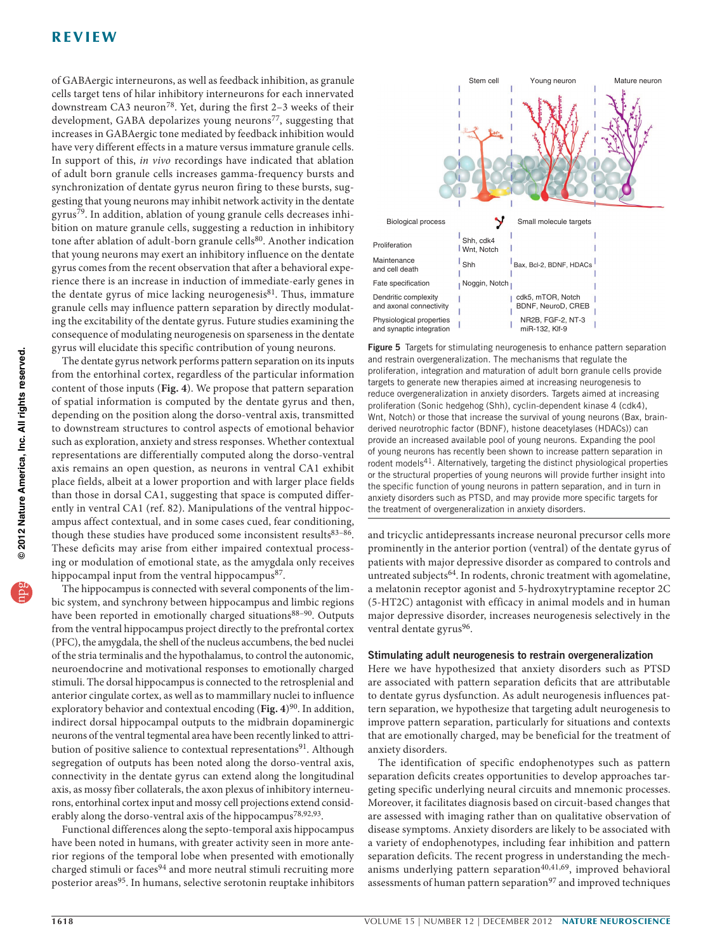of GABAergic interneurons, as well as feedback inhibition, as granule cells target tens of hilar inhibitory interneurons for each innervated downstream CA3 neuron<sup>78</sup>. Yet, during the first 2-3 weeks of their development, GABA depolarizes young neurons<sup>[77](#page-7-30)</sup>, suggesting that increases in GABAergic tone mediated by feedback inhibition would have very different effects in a mature versus immature granule cells. In support of this, *in vivo* recordings have indicated that ablation of adult born granule cells increases gamma-frequency bursts and synchronization of dentate gyrus neuron firing to these bursts, suggesting that young neurons may inhibit network activity in the dentate gyrus[79.](#page-7-32) In addition, ablation of young granule cells decreases inhibition on mature granule cells, suggesting a reduction in inhibitory tone after ablation of adult-born granule cells<sup>[80](#page-7-33)</sup>. Another indication that young neurons may exert an inhibitory influence on the dentate gyrus comes from the recent observation that after a behavioral experience there is an increase in induction of immediate-early genes in the dentate gyrus of mice lacking neurogenesis $81$ . Thus, immature granule cells may influence pattern separation by directly modulating the excitability of the dentate gyrus. Future studies examining the consequence of modulating neurogenesis on sparseness in the dentate gyrus will elucidate this specific contribution of young neurons.

The dentate gyrus network performs pattern separation on its inputs from the entorhinal cortex, regardless of the particular information content of those inputs (**[Fig. 4](#page-4-0)**). We propose that pattern separation of spatial information is computed by the dentate gyrus and then, depending on the position along the dorso-ventral axis, transmitted to downstream structures to control aspects of emotional behavior such as exploration, anxiety and stress responses. Whether contextual representations are differentially computed along the dorso-ventral axis remains an open question, as neurons in ventral CA1 exhibit place fields, albeit at a lower proportion and with larger place fields than those in dorsal CA1, suggesting that space is computed differently in ventral CA1 (ref. 82). Manipulations of the ventral hippocampus affect contextual, and in some cases cued, fear conditioning, though these studies have produced some inconsistent results $83-86$  $83-86$ . These deficits may arise from either impaired contextual processing or modulation of emotional state, as the amygdala only receives hippocampal input from the ventral hippocampus<sup>87</sup>.

The hippocampus is connected with several components of the limbic system, and synchrony between hippocampus and limbic regions have been reported in emotionally charged situations<sup>88-90</sup>. Outputs from the ventral hippocampus project directly to the prefrontal cortex (PFC), the amygdala, the shell of the nucleus accumbens, the bed nuclei of the stria terminalis and the hypothalamus, to control the autonomic, neuroendocrine and motivational responses to emotionally charged stimuli. The dorsal hippocampus is connected to the retrosplenial and anterior cingulate cortex, as well as to mammillary nuclei to influence exploratory behavior and contextual encoding ([Fig. 4](#page-4-0))<sup>90</sup>. In addition, indirect dorsal hippocampal outputs to the midbrain dopaminergic neurons of the ventral tegmental area have been recently linked to attri-bution of positive salience to contextual representations<sup>[91](#page-7-40)</sup>. Although segregation of outputs has been noted along the dorso-ventral axis, connectivity in the dentate gyrus can extend along the longitudinal axis, as mossy fiber collaterals, the axon plexus of inhibitory interneurons, entorhinal cortex input and mossy cell projections extend consid-erably along the dorso-ventral axis of the hippocampus<sup>78,[92,](#page-7-41)[93](#page-7-42)</sup>.

Functional differences along the septo-temporal axis hippocampus have been noted in humans, with greater activity seen in more anterior regions of the temporal lobe when presented with emotionally charged stimuli or faces<sup>94</sup> and more neutral stimuli recruiting more posterior areas<sup>95</sup>. In humans, selective serotonin reuptake inhibitors



<span id="page-5-0"></span>Figure 5 Targets for stimulating neurogenesis to enhance pattern separation and restrain overgeneralization. The mechanisms that regulate the proliferation, integration and maturation of adult born granule cells provide targets to generate new therapies aimed at increasing neurogenesis to reduce overgeneralization in anxiety disorders. Targets aimed at increasing proliferation (Sonic hedgehog (Shh), cyclin-dependent kinase 4 (cdk4), Wnt, Notch) or those that increase the survival of young neurons (Bax, brainderived neurotrophic factor (BDNF), histone deacetylases (HDACs)) can provide an increased available pool of young neurons. Expanding the pool of young neurons has recently been shown to increase pattern separation in rodent models<sup>41</sup>. Alternatively, targeting the distinct physiological properties or the structural properties of young neurons will provide further insight into the specific function of young neurons in pattern separation, and in turn in anxiety disorders such as PTSD, and may provide more specific targets for the treatment of overgeneralization in anxiety disorders.

and tricyclic antidepressants increase neuronal precursor cells more prominently in the anterior portion (ventral) of the dentate gyrus of patients with major depressive disorder as compared to controls and untreated subjects<sup>[64](#page-7-17)</sup>. In rodents, chronic treatment with agomelatine, a melatonin receptor agonist and 5-hydroxytryptamine receptor 2C (5-HT2C) antagonist with efficacy in animal models and in human major depressive disorder, increases neurogenesis selectively in the ventral dentate gyrus<sup>96</sup>.

### Stimulating adult neurogenesis to restrain overgeneralization

Here we have hypothesized that anxiety disorders such as PTSD are associated with pattern separation deficits that are attributable to dentate gyrus dysfunction. As adult neurogenesis influences pattern separation, we hypothesize that targeting adult neurogenesis to improve pattern separation, particularly for situations and contexts that are emotionally charged, may be beneficial for the treatment of anxiety disorders.

The identification of specific endophenotypes such as pattern separation deficits creates opportunities to develop approaches targeting specific underlying neural circuits and mnemonic processes. Moreover, it facilitates diagnosis based on circuit-based changes that are assessed with imaging rather than on qualitative observation of disease symptoms. Anxiety disorders are likely to be associated with a variety of endophenotypes, including fear inhibition and pattern separation deficits. The recent progress in understanding the mech-anisms underlying pattern separation<sup>[40,](#page-6-38)[41,](#page-6-42)[69](#page-7-22)</sup>, improved behavioral assessments of human pattern separation<sup>97</sup> and improved techniques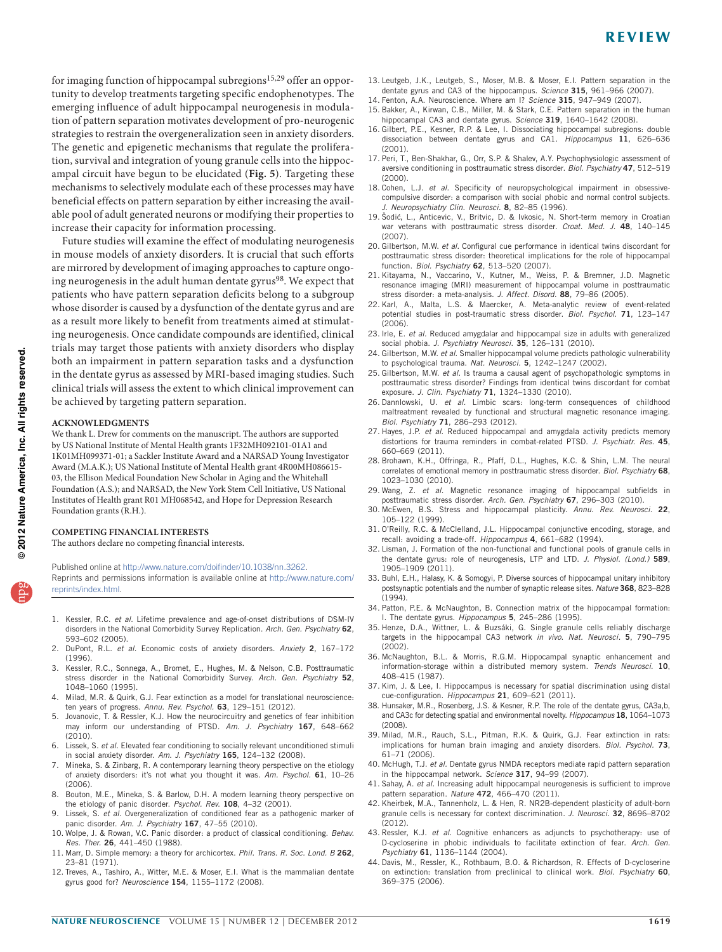for imaging function of hippocampal subregions<sup>[15,](#page-6-13)[29](#page-6-26)</sup> offer an opportunity to develop treatments targeting specific endophenotypes. The emerging influence of adult hippocampal neurogenesis in modulation of pattern separation motivates development of pro-neurogenic strategies to restrain the overgeneralization seen in anxiety disorders. The genetic and epigenetic mechanisms that regulate the proliferation, survival and integration of young granule cells into the hippocampal circuit have begun to be elucidated (**[Fig. 5](#page-5-0)**). Targeting these mechanisms to selectively modulate each of these processes may have beneficial effects on pattern separation by either increasing the available pool of adult generated neurons or modifying their properties to increase their capacity for information processing.

Future studies will examine the effect of modulating neurogenesis in mouse models of anxiety disorders. It is crucial that such efforts are mirrored by development of imaging approaches to capture ongoing neurogenesis in the adult human dentate gyrus<sup>98</sup>. We expect that patients who have pattern separation deficits belong to a subgroup whose disorder is caused by a dysfunction of the dentate gyrus and are as a result more likely to benefit from treatments aimed at stimulating neurogenesis. Once candidate compounds are identified, clinical trials may target those patients with anxiety disorders who display both an impairment in pattern separation tasks and a dysfunction in the dentate gyrus as assessed by MRI-based imaging studies. Such clinical trials will assess the extent to which clinical improvement can be achieved by targeting pattern separation.

#### **Acknowledgments**

We thank L. Drew for comments on the manuscript. The authors are supported by US National Institute of Mental Health grants 1F32MH092101-01A1 and 1K01MH099371-01; a Sackler Institute Award and a NARSAD Young Investigator Award (M.A.K.); US National Institute of Mental Health grant 4R00MH086615- 03, the Ellison Medical Foundation New Scholar in Aging and the Whitehall Foundation (A.S.); and NARSAD, the New York Stem Cell Initiative, US National Institutes of Health grant R01 MH068542, and Hope for Depression Research Foundation grants (R.H.).

#### **COMPETING FINANCIAL INTERESTS**

The authors declare no competing financial interests.

Published online at<http://www.nature.com/doifinder/10.1038/nn.3262>. Reprints and permissions information is available online at [http://www.nature.com/](http://www.nature.com/reprints/index.html) [reprints/index.html](http://www.nature.com/reprints/index.html).

- <span id="page-6-0"></span>1. Kessler, R.C. *et al.* Lifetime prevalence and age-of-onset distributions of DSM-IV disorders in the National Comorbidity Survey Replication. *Arch. Gen. Psychiatry* 62, 593–602 (2005).
- <span id="page-6-1"></span>2. DuPont, R.L. *et al.* Economic costs of anxiety disorders. *Anxiety* 2, 167–172 (1996).
- <span id="page-6-2"></span>3. Kessler, R.C., Sonnega, A., Bromet, E., Hughes, M. & Nelson, C.B. Posttraumatic stress disorder in the National Comorbidity Survey. *Arch. Gen. Psychiatry* 52, 1048–1060 (1995).
- <span id="page-6-3"></span>4. Milad, M.R. & Quirk, G.J. Fear extinction as a model for translational neuroscience: ten years of progress. *Annu. Rev. Psychol.* 63, 129–151 (2012).
- <span id="page-6-4"></span>5. Jovanovic, T. & Ressler, K.J. How the neurocircuitry and genetics of fear inhibition may inform our understanding of PTSD. *Am. J. Psychiatry* 167, 648–662 (2010).
- <span id="page-6-5"></span>6. Lissek, S. *et al.* Elevated fear conditioning to socially relevant unconditioned stimuli in social anxiety disorder. *Am. J. Psychiatry* 165, 124–132 (2008).
- <span id="page-6-6"></span>7. Mineka, S. & Zinbarg, R. A contemporary learning theory perspective on the etiology of anxiety disorders: it's not what you thought it was. *Am. Psychol.* 61, 10–26 (2006).
- <span id="page-6-7"></span>8. Bouton, M.E., Mineka, S. & Barlow, D.H. A modern learning theory perspective on the etiology of panic disorder. *Psychol. Rev.* 108, 4–32 (2001).
- <span id="page-6-8"></span>9. Lissek, S. *et al.* Overgeneralization of conditioned fear as a pathogenic marker of panic disorder. *Am. J. Psychiatry* 167, 47–55 (2010).
- <span id="page-6-9"></span>10. Wolpe, J. & Rowan, V.C. Panic disorder: a product of classical conditioning. *Behav. Res. Ther.* 26, 441–450 (1988).
- <span id="page-6-10"></span>11. Marr, D. Simple memory: a theory for archicortex. *Phil. Trans. R. Soc. Lond. B* 262, 23–81 (1971).
- <span id="page-6-29"></span>12. Treves, A., Tashiro, A., Witter, M.E. & Moser, E.I. What is the mammalian dentate gyrus good for? *Neuroscience* 154, 1155–1172 (2008).
- <span id="page-6-12"></span>13. Leutgeb, J.K., Leutgeb, S., Moser, M.B. & Moser, E.I. Pattern separation in the dentate gyrus and CA3 of the hippocampus. *Science* 315, 961–966 (2007).
- <span id="page-6-11"></span>14. Fenton, A.A. Neuroscience. Where am I? *Science* 315, 947–949 (2007).
- <span id="page-6-13"></span>15. Bakker, A., Kirwan, C.B., Miller, M. & Stark, C.E. Pattern separation in the human hippocampal CA3 and dentate gyrus. *Science* 319, 1640–1642 (2008).
- <span id="page-6-14"></span>16. Gilbert, P.E., Kesner, R.P. & Lee, I. Dissociating hippocampal subregions: double dissociation between dentate gyrus and CA1. *Hippocampus* 11, 626–636 (2001).
- <span id="page-6-15"></span>17. Peri, T., Ben-Shakhar, G., Orr, S.P. & Shalev, A.Y. Psychophysiologic assessment of aversive conditioning in posttraumatic stress disorder. *Biol. Psychiatry* 47, 512–519 (2000).
- <span id="page-6-16"></span>18. Cohen, L.J. *et al.* Specificity of neuropsychological impairment in obsessivecompulsive disorder: a comparison with social phobic and normal control subjects. *J. Neuropsychiatry Clin. Neurosci.* 8, 82–85 (1996).
- <span id="page-6-17"></span>19. Šodić, L., Anticevic, V., Britvic, D. & Ivkosic, N. Short-term memory in Croatian war veterans with posttraumatic stress disorder. *Croat. Med. J.* 48, 140–145 (2007).
- <span id="page-6-18"></span>20. Gilbertson, M.W. *et al.* Configural cue performance in identical twins discordant for posttraumatic stress disorder: theoretical implications for the role of hippocampal function. *Biol. Psychiatry* 62, 513–520 (2007).
- <span id="page-6-19"></span>21. Kitayama, N., Vaccarino, V., Kutner, M., Weiss, P. & Bremner, J.D. Magnetic resonance imaging (MRI) measurement of hippocampal volume in posttraumatic stress disorder: a meta-analysis. *J. Affect. Disord.* 88, 79–86 (2005).
- <span id="page-6-20"></span>22. Karl, A., Malta, L.S. & Maercker, A. Meta-analytic review of event-related potential studies in post-traumatic stress disorder. *Biol. Psychol.* 71, 123–147 (2006).
- <span id="page-6-21"></span>23. Irle, E. *et al.* Reduced amygdalar and hippocampal size in adults with generalized social phobia. *J. Psychiatry Neurosci.* 35, 126–131 (2010).
- <span id="page-6-22"></span>24. Gilbertson, M.W. *et al.* Smaller hippocampal volume predicts pathologic vulnerability to psychological trauma. *Nat. Neurosci.* 5, 1242–1247 (2002).
- 25. Gilbertson, M.W. *et al.* Is trauma a causal agent of psychopathologic symptoms in posttraumatic stress disorder? Findings from identical twins discordant for combat exposure. *J. Clin. Psychiatry* 71, 1324–1330 (2010).
- <span id="page-6-23"></span>26. Dannlowski, U. *et al.* Limbic scars: long-term consequences of childhood maltreatment revealed by functional and structural magnetic resonance imaging. *Biol. Psychiatry* 71, 286–293 (2012).
- <span id="page-6-24"></span>27. Hayes, J.P. *et al.* Reduced hippocampal and amygdala activity predicts memory distortions for trauma reminders in combat-related PTSD. *J. Psychiatr. Res.* 45, 660–669 (2011).
- <span id="page-6-25"></span>28. Brohawn, K.H., Offringa, R., Pfaff, D.L., Hughes, K.C. & Shin, L.M. The neural correlates of emotional memory in posttraumatic stress disorder. *Biol. Psychiatry* 68, 1023–1030 (2010).
- <span id="page-6-26"></span>29. Wang, Z. *et al.* Magnetic resonance imaging of hippocampal subfields in posttraumatic stress disorder. *Arch. Gen. Psychiatry* 67, 296–303 (2010).
- <span id="page-6-27"></span>30. McEwen, B.S. Stress and hippocampal plasticity. *Annu. Rev. Neurosci.* 22, 105–122 (1999).
- <span id="page-6-28"></span>31. O'Reilly, R.C. & McClelland, J.L. Hippocampal conjunctive encoding, storage, and recall: avoiding a trade-off. *Hippocampus* 4, 661–682 (1994).
- <span id="page-6-30"></span>32. Lisman, J. Formation of the non-functional and functional pools of granule cells in the dentate gyrus: role of neurogenesis, LTP and LTD. *J. Physiol. (Lond.)* 589, 1905–1909 (2011).
- <span id="page-6-31"></span>33. Buhl, E.H., Halasy, K. & Somogyi, P. Diverse sources of hippocampal unitary inhibitory postsynaptic potentials and the number of synaptic release sites. *Nature* 368, 823–828 (1994).
- <span id="page-6-32"></span>34. Patton, P.E. & McNaughton, B. Connection matrix of the hippocampal formation: I. The dentate gyrus. *Hippocampus* 5, 245–286 (1995).
- <span id="page-6-33"></span>35. Henze, D.A., Wittner, L. & Buzsáki, G. Single granule cells reliably discharge targets in the hippocampal CA3 network *in vivo*. *Nat. Neurosci.* 5, 790–795 (2002).
- <span id="page-6-34"></span>36. McNaughton, B.L. & Morris, R.G.M. Hippocampal synaptic enhancement and information-storage within a distributed memory system. *Trends Neurosci.* 10, 408–415 (1987).
- <span id="page-6-35"></span>37. Kim, J. & Lee, I. Hippocampus is necessary for spatial discrimination using distal cue-configuration. *Hippocampus* 21, 609–621 (2011).
- <span id="page-6-36"></span>38. Hunsaker, M.R., Rosenberg, J.S. & Kesner, R.P. The role of the dentate gyrus, CA3a,b, and CA3c for detecting spatial and environmental novelty. *Hippocampus* 18, 1064–1073 (2008).
- <span id="page-6-37"></span>39. Milad, M.R., Rauch, S.L., Pitman, R.K. & Quirk, G.J. Fear extinction in rats: implications for human brain imaging and anxiety disorders. *Biol. Psychol.* 73, 61–71 (2006).
- <span id="page-6-38"></span>40. McHugh, T.J. *et al.* Dentate gyrus NMDA receptors mediate rapid pattern separation in the hippocampal network. *Science* 317, 94–99 (2007).
- <span id="page-6-42"></span>41. Sahay, A. *et al.* Increasing adult hippocampal neurogenesis is sufficient to improve pattern separation. *Nature* 472, 466–470 (2011).
- <span id="page-6-39"></span>42. Kheirbek, M.A., Tannenholz, L. & Hen, R. NR2B-dependent plasticity of adult-born granule cells is necessary for context discrimination. *J. Neurosci.* 32, 8696–8702 (2012).
- <span id="page-6-40"></span>43. Ressler, K.J. *et al.* Cognitive enhancers as adjuncts to psychotherapy: use of D-cycloserine in phobic individuals to facilitate extinction of fear. *Arch. Gen. Psychiatry* 61, 1136–1144 (2004).
- <span id="page-6-41"></span>44. Davis, M., Ressler, K., Rothbaum, B.O. & Richardson, R. Effects of D-cycloserine on extinction: translation from preclinical to clinical work. *Biol. Psychiatry* 60, 369–375 (2006).